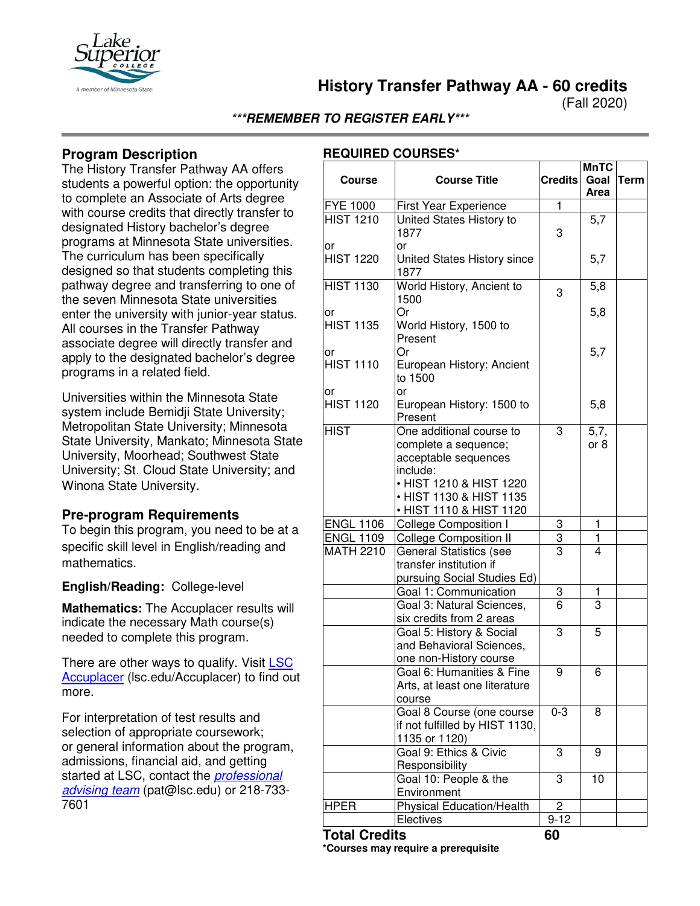

**History Transfer Pathway AA - 60 credits**

(Fall 2020)

**\*\*\*REMEMBER TO REGISTER EARLY\*\*\***

# **Program Description**

The History Transfer Pathway AA offers students a powerful option: the opportunity to complete an Associate of Arts degree with course credits that directly transfer to designated History bachelor's degree programs at Minnesota State universities. The curriculum has been specifically designed so that students completing this pathway degree and transferring to one of the seven Minnesota State universities enter the university with junior-year status. All courses in the Transfer Pathway associate degree will directly transfer and apply to the designated bachelor's degree programs in a related field.

Universities within the Minnesota State system include Bemidji State University; Metropolitan State University; Minnesota State University, Mankato; Minnesota State University, Moorhead; Southwest State University; St. Cloud State University; and Winona State University.

#### **Pre-program Requirements**

To begin this program, you need to be at a specific skill level in English/reading and mathematics.

#### **English/Reading:** College-level

**Mathematics:** The Accuplacer results will indicate the necessary Math course(s) needed to complete this program.

There are other ways to qualify. Visit LSC [Accuplacer](https://www.lsc.edu/accuplacer/) (lsc.edu/Accuplacer) to find out more.

For interpretation of test results and selection of appropriate coursework; or general information about the program, admissions, financial aid, and getting started at LSC, contact the *[professional](mailto:pat@lsc.edu)  [advising team](mailto:pat@lsc.edu)* (pat@lsc.edu) or 218-733- 7601

## **REQUIRED COURSES\***

| <b>Course</b>          | <b>Course Title</b>                                                                                                                        | <b>Credits</b> | <b>MnTC</b><br>Goal<br>Area | <b>Term</b> |
|------------------------|--------------------------------------------------------------------------------------------------------------------------------------------|----------------|-----------------------------|-------------|
| <b>FYE 1000</b>        | First Year Experience                                                                                                                      | $\overline{1}$ |                             |             |
| <b>HIST 1210</b><br>or | United States History to<br>1877<br>or                                                                                                     | 3              | $\overline{5,7}$            |             |
| <b>HIST 1220</b>       | United States History since<br>1877                                                                                                        |                | 5,7                         |             |
| <b>HIST 1130</b>       | World History, Ancient to<br>1500                                                                                                          | 3              | 5,8                         |             |
| or<br><b>HIST 1135</b> | Or<br>World History, 1500 to<br>Present                                                                                                    |                | 5,8                         |             |
| or<br><b>HIST 1110</b> | Or<br>European History: Ancient<br>to 1500                                                                                                 |                | 5,7                         |             |
| or<br><b>HIST 1120</b> | or<br>European History: 1500 to<br>Present                                                                                                 |                | 5,8                         |             |
| <b>HIST</b>            | One additional course to<br>complete a sequence;<br>acceptable sequences<br>include:<br>• HIST 1210 & HIST 1220<br>• HIST 1130 & HIST 1135 | 3              | 5,7,<br>or 8                |             |
|                        | • HIST 1110 & HIST 1120                                                                                                                    |                |                             |             |
| <b>ENGL 1106</b>       | <b>College Composition I</b>                                                                                                               | 3              | 1                           |             |
| <b>ENGL 1109</b>       | College Composition II                                                                                                                     | 3              | 1                           |             |
| <b>MATH 2210</b>       | <b>General Statistics (see</b><br>transfer institution if<br>pursuing Social Studies Ed)                                                   | 3              | 4                           |             |
|                        | Goal 1: Communication                                                                                                                      | 3              | 1                           |             |
|                        | Goal 3: Natural Sciences,<br>six credits from 2 areas                                                                                      | 6              | 3                           |             |
|                        | Goal 5: History & Social<br>and Behavioral Sciences,<br>one non-History course                                                             | 3              | 5                           |             |
|                        | Goal 6: Humanities & Fine<br>Arts, at least one literature<br>course                                                                       | 9              | 6                           |             |
|                        | Goal 8 Course (one course<br>if not fulfilled by HIST 1130,<br>1135 or 1120)                                                               | $0 - 3$        | 8                           |             |
|                        | Goal 9: Ethics & Civic<br>Responsibility                                                                                                   | 3              | 9                           |             |
|                        | Goal 10: People & the<br>Environment                                                                                                       | 3              | 10                          |             |
| <b>HPER</b>            | <b>Physical Education/Health</b>                                                                                                           | 2              |                             |             |
|                        | Electives                                                                                                                                  | $9 - 12$       |                             |             |
| <b>Total Credits</b>   |                                                                                                                                            | 60             |                             |             |

**\*Courses may require a prerequisite**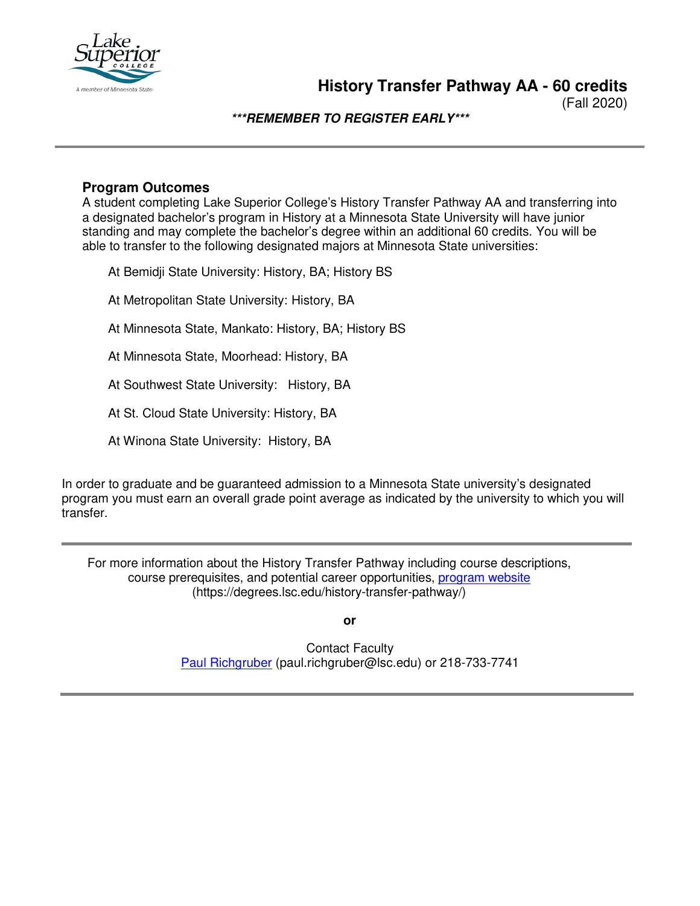

(Fall 2020)

**\*\*\*REMEMBER TO REGISTER EARLY\*\*\***

### **Program Outcomes**

A student completing Lake Superior College's History Transfer Pathway AA and transferring into a designated bachelor's program in History at a Minnesota State University will have junior standing and may complete the bachelor's degree within an additional 60 credits. You will be able to transfer to the following designated majors at Minnesota State universities:

At Bemidji State University: History, BA; History BS

At Metropolitan State University: History, BA

At Minnesota State, Mankato: History, BA; History BS

At Minnesota State, Moorhead: History, BA

At Southwest State University: History, BA

At St. Cloud State University: History, BA

At Winona State University: History, BA

In order to graduate and be guaranteed admission to a Minnesota State university's designated program you must earn an overall grade point average as indicated by the university to which you will transfer.

For more information about the History Transfer Pathway including course descriptions, course prerequisites, and potential career opportunities, [program website](https://degrees.lsc.edu/history-transfer-pathway/) (https://degrees.lsc.edu/history-transfer-pathway/)

**or**

Contact Faculty [Paul Richgruber](mailto:paul.richgruber@lsc.edu) (paul.richgruber@lsc.edu) or 218-733-7741